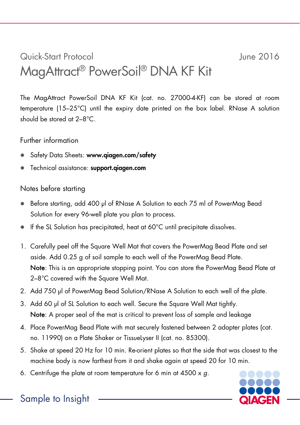## Quick-Start Protocol June 2016 MagAttract® PowerSoil® DNA KF Kit

The MagAttract PowerSoil DNA KF Kit (cat. no. 27000-4-KF) can be stored at room temperature (15–25°C) until the expiry date printed on the box label. RNase A solution should be stored at 2–8°C.

Further information

- Safety Data Sheets: www.qiagen.com/safety
- Technical assistance: support.qiagen.com

## Notes before starting

- Before starting, add 400 µl of RNase A Solution to each 75 ml of PowerMag Bead Solution for every 96-well plate you plan to process.
- If the SL Solution has precipitated, heat at 60°C until precipitate dissolves.
- 1. Carefully peel off the Square Well Mat that covers the PowerMag Bead Plate and set aside. Add 0.25 g of soil sample to each well of the PowerMag Bead Plate. Note: This is an appropriate stopping point. You can store the PowerMag Bead Plate at 2–8°C covered with the Square Well Mat.
- 2. Add 750 µl of PowerMag Bead Solution/RNase A Solution to each well of the plate.
- 3. Add 60 µl of SL Solution to each well. Secure the Square Well Mat tightly. Note: A proper seal of the mat is critical to prevent loss of sample and leakage
- 4. Place PowerMag Bead Plate with mat securely fastened between 2 adapter plates (cat. no. 11990) on a Plate Shaker or TissueLyser II (cat. no. 85300).
- 5. Shake at speed 20 Hz for 10 min. Re-orient plates so that the side that was closest to the machine body is now farthest from it and shake again at speed 20 for 10 min.
- 6. Centrifuge the plate at room temperature for 6 min at 4500 x *g*.



Sample to Insight